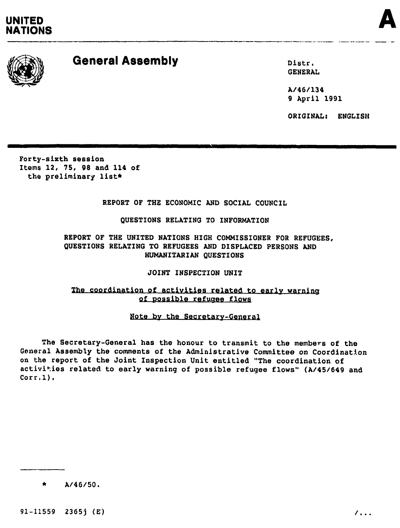# UNITED<br>NATIONS **NATIONS**





# General Assembly Distr.

GENERAL

A/46/134 9 April 1991

ORIGINAL: ENGLISH

Forty-sixth session Items 12, 75, 90 and 114 of the preliminary list\*

# REPORT OF THE ECONOMIC AND SOCIAL COUNCIL

----------------------------------\_. ------

# QUESTIONS RELATING TO INFORMATION

REPORT OF THE UNITED NATIONS HIGH COMMISSIONER FOR REFUGEES, QUESTIONS RELATING TO REFUGEES AND DISPLACED PERSONS AND HUMANITARIAN QUESTIONS

JOINT INSPECTION UNIT

# The coordination of activities related to early warning of possible refugee flows

# Note by the Secretary-General

The Secretary-General has the honour to transmit to the members of the General Assembly the comments of the Administrative Committee on Coordination on the report of the Joint Inspection Unit entitled "The coordination of activities related to early warning of possible refugee flows" (A/45/649 and Corr.1).

 $A/46/50.$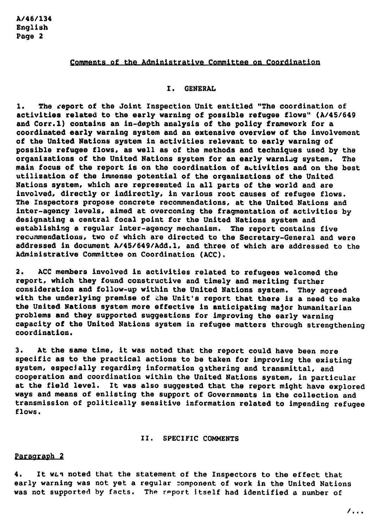#### Comments of the Administratiye Committee on Coordination

#### I. GENERAL

1. The report of the Joint Inspection Unit entitled "The coordination of activities related to the early warning of possible refugee flows" *(A/45/649* and Corr.l) contains an in-depth analysis of the policy framework for a coordinated early warning system and an extensive overview of the involvement of the United Nations system in activities relevant to early warning of possible refugee flows, as well as of the methods and techniques used by the organizations of the United Nations system for an early warning system. The main focus of the report is on the coordination of autivities and on the best utilization of the immense potential of the organizations of the United Nations system, which are represented in all parts of the world and are involved, directly or indirectly, in various root causes of refugee flows. The Inspectors propose concrete recommendations, at the United Nations and inter-agency levels, aimed at overcoming the fragmentation of activities by designating a central focal point for the United Nations system and establishing a regular inter-agency mechanism. The report contains five recummendations, two of which are directed to the Secretary-General and were addressed in document *A/45/649/Add.1,* and three of which are addressed to the Administrative Committee on Coordination (ACC).

2. ACC members involved in activities related to refugees welcomed the report, which they found constructive and timely and meriting further consideration and follow-up within the United Nations system. They agreed with the underlying premise of the Unit's report that there is a need to make the United Nations system more effective in anticipating major humanitarian problems and they supported suggestions for improving the early warning capacity of the United Nations system in refugee matters through strengthening coordination.

3. At the same time, it was noted that the report could have been more specific as to the practical actions to be taken for improving the existing system, especially regarding information githering and transmittal, and cooperation and coordination within the United Nations system. in particular at the field level. It was also suggested that the report might have explored ways and means of enlisting the support of Governments in the collection and transmission of politically sensitive information related to impending refugee flows.

#### 11. SPECIFIC COMMENTS

#### Paragraph 2

4. It was noted that the statement of the Inspectors to the effect that early warning was not yet a regular component of work in the United Nations was not supported by facts. The report itself had identified a number of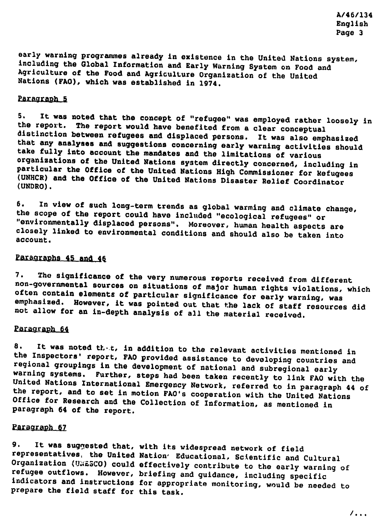early warning programmes already in existence in the United Nations system, including the Global Information and Early Warning System on Food and Agriculture of the Food and Agricullure Organization of the Unitod Nations (FAO), which was established in 1974.

# Paragraph 5

5. It was noted that the concept of "refugee" was employed rather loosely in the report. The report would have benefited from a clear conceptual distinction between refugees and displaced persons. It was also emphasized that any analyses and suggestions concerning early warning activities should take fully into account the mandates and the limitations of various organizations of the United Nations system directly concerned, including in particular the Office of the United Nations High Commissioner for kefugees (UNHCR) and the Office of the United Nations Disaster Relief Coordinator (UNDRO).

6. In view of such long-term trends as global warming and climate change, the scope of the report could have inclnded "ecological refugees" or "environmentally displaced persons". Moreover, human health aspects are closely linked to environmental conditions and should also be taken into account.

# Paragraphs 45 and 46

7. Tho significance of the very numerous reports received from different non-governmental sources on situations of major human rights violations, which often contain elements of particular significance for early warning, was emphasized. However, it was pointed out that the lack of staff resources did not allow for an in-depth analysis of all the material received.

# Paragraph 64

8. It was noted that, in addition to the relevant activities mentioned in the Inspectors' report, FAO provided assistance to developing countries and regional groupings in the development of national and subregional early<br>warning systems. Further, steps had been taken recontly to ligh E10 at Further, steps had been taken recently to link FAO with the United Nations International Emergency Network, referred to in paragraph 44 of the report, and to set in motion FAO's cooperation with the United Nations Office for Research and the Collection of Information, as mentioned in paragraph 64 of the report.

#### Paragraph 67

9. It was suggested that, with its widespread network of field representatives, the United Nation' Educational, Scientific and Cultural Organization (U\*£5CO) could effectively contribute to the early warning of refugee outflows. However, briefing and guidance, including specific indicators and instructions for appropriate monitoring, would be needed to prepare the field staff for this task.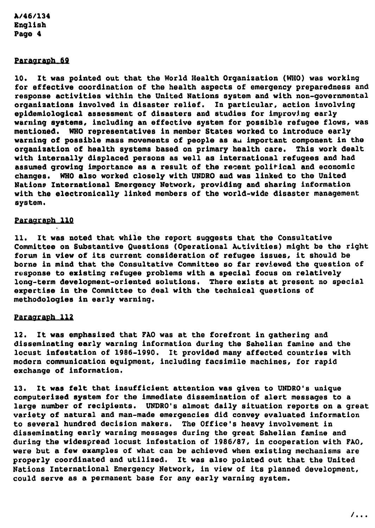#### Paragraph 69

10. It was pointed out that the World Health Organization (WHO) was working for effective coordination of the health aspects of emergency preparedness and response activities within the United Nations system and with non-governmental organizations involved in disaster relief. In particular, action involving epidemiological assessment of disasters and studies for improvlng early warning systems, including an effective system for possible refugee flows, was mentioned. WHO representatives in member States worked to introduce early warning of possible mass movements of people as an important component in the organization of health systems based on primary health care. This work dealt with internally displaced persons as well as international refugees and had assumed growing importance as a result of the recent political and economic changes. WHO also worked closely with UNDRO and was linked to the United Nations International Emergency Network, providing and sharing information with the electronically linked members of the world-wide disaster management system.

#### Paragraph 110

11. It was noted that while the report suggests that the Consultative Committee on Substantive Questions (Operational Activities) might be the right forum in view of its current consideration of refugee issues, it should be borne in mind that the Consultative Committee so far reviewed the question of response to existing refugee problems with a special focus on relatively long-term development-oriented solutions. There exists at present no special expertise in the Committee to deal with the technical questions of methodologies in early warning.

#### Paragraph 112

12. It was emphasized that FAO was at the forefront in gathering and disseminating early warning information during the Sahelian famine and the locust infestation of 1986-1990. It provided many affected countries with modern communication equipment, including facsimile machines, for rapid exchange of information.

13. It was felt that insufficient attention was given to UNDRO's unique computerized system for the immediate dissemination of alert messages to a large number of recipients. UNDRO's almost daily situation reports on a great variety of natural and man-made emergencies did convey evaluated information to several hundred decision makers. The Office's heavy involvement in disseminating early warning messages during the great Sahelian famine and during the widespread locust infestation of 1.986/87, in cooperation with FAO, were but a few examples of what can be achieved when existing mechanisms are properly coordinated and utilized. It was also pointed out that the United Nations International Emergency Network, in view of its planned development, could serve as a permanent base for any early warning system.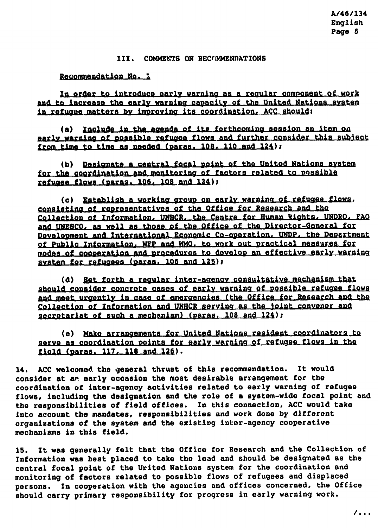## III. COMMENTS ON RECOMMENDATIONS

Reqommendation No. 1

In order to introduce early warning as a regular component of work and to increase the early warning capacity of the United Nations system in refugee matters by improving its coordination. ACC should:

(a) Include in the agenda of its forthcoming session an item on early warning of possible refugee flows and further consider this subject from time to time as needed (paras. 108, 110 and 124);

(b) Designate a gentral focal point of the United Nations system for the coordination and monitoring of factors related to possible refugee flows (paras.  $106, 108$  and  $124$ );

(c) Establish a working group on early warning of refugee flows, consisting of representatives of the Office for Research and the Collection of Information, UNHCR, the Centre for Human Rights, UNDRO, FAO and UNESCO, as well as those of the Office of the Director-General for Development and International Economic Co-operation, UNDP, the Department of Public Information, WFP and WMO, to work out practical measures for modes of cooperation and procedures to develop an effective early warning system for refugees (paras. 106 and 125);

(d) Set forth a regular inter-agency consultative mechanism that should consider concrete cases of early warning of possible refugee flows and meet urgently in case of emergencies (the Office for Research and the Collection of Information and UNHCR serving as the joint convener and secretariat of such a mechanism) (paras.  $108$  and  $124$ );

(e) Make arrangements for United Nations resident coordinators to serve as coordination points for early warning of refugee flows in the field (paras. 117, 118 and 126).

14. ACC welcomed the general thrust of this recommendation. It would consider at ar early occasion the most desirable arrangement for the coordination of inter-aqency activities related to early warning of refugee flows, including the designation and the role of a system-wide focal point and the responsibilities of field offices. In this connection, ACC would take into account the mandates, responsibilities and work done by different organizations of the system and the existing inter-agency cooperative mechanisms in this field.

15. It was generally felt that the Office for Research and the Collection of Information was best placed to take the lead and should be designated as the central focal point of the Urited Nations system for the coordination and monitoring of factors related to possible flows of refugees and displaced persons. In cooperation with the agencies and offices concerned, the Office should carry primary responsibility for progress in early warning work.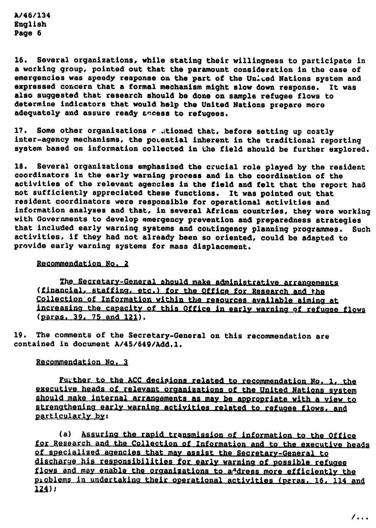16. Several organizations, while stating their willingness to participate in a working group, pointed out that the paramount consideration in tho case of emergencies was speedy response on the part of the United Nations system and expressed concern that a formal mechanism might slow down response. It was also suggested that research 8hou1d be done on sample refugee flows to determine indicators that would help the United Nations prepare more adequately and assure ready access to refugees.

17. Some other organizations r ..tioned that, before setting up costly inter-agency mechanisms, the potential inherent in the traditional reporting system based on information collected in the field should be further explored.

18. Several organizations emphasized the crucial role played by the resident coordinators in the early warning process and in the coordination of the activities of the relevant agencies in the field and felt that the report had not sufficiently appreciated these functions. It was pointed out that resident coordinators were responsible for operational activities and information analyses and that, in several African countries, they were working with Governments to develop emergency prevention and preparedness strategies that included early warning systems and contingency planning programmes. Such activities, if they had not already been so oriented, could be adapted to provide early warning systems for mass displacement.

#### Recommendation No. 2

The Secretary-General should make administrative arrangements (financial, staffing, etc.) for the Office for Research and the Collection of Information within the resources available aiming at increasing the capacity of this Office in early warning of refugee flows (paras. 39. 75 and 121).

19. The comments of the Secretary-General on this recommendation are contained in document *A/45/649/Add.1.*

#### Recommendation No. 3

Further to the ACC decisions related to recommendation No. 1, the executive heads of relevant organizations of the United Nations system should make internal arrangements as may be appropriate with a view to atrengthening early warning activities related to refugee flows, and particularly by:

(a) Assuring the rapid transmission of information to the Office for Research and the Collection of Information and to the executive heads of specialized agencies that may assist the Secretary-General to discharge his responsibilities for early warning of possible refugee flows and may enable the organizations to a dress more efficiently the problems in undertaking their operational activities (peras. 16, 114 and  $124$ );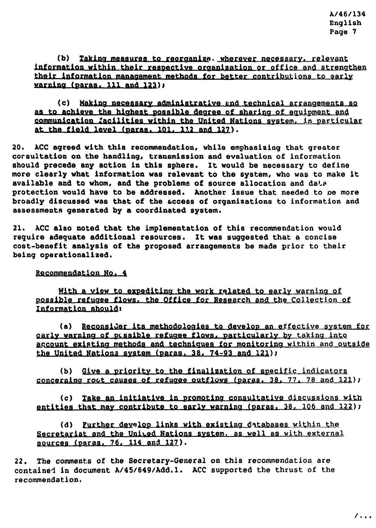(b) Taking measures to reorganize. wherever necessary, relevant information within their respective organization or office and strengthen their information management methods for better contributions to early warning (paras. 111 and 123);

(c) Making negessary administrative and technical arrangements so as to achieve the highest possible degree of sharing of equipment and communication Zacilities within the United Nations system, in particular at the field level (paras. 101, 112 and 127).

20. ACC aqreed with this recommendation, while emphasizing that greater corsultation on the bandling, tranomission and evaluation of information should precede any action in this sphere. It would be necessary to define more clearly what information was relevant to the system, who was to make it available and to whom, and the problems of source allocation and data protection would have to be addressed. Another issue that needed to be more broadly discussed was that of the access of organizations to information and assessments generated by a coordinated system.

21. ACC also noted that the implementation of this recommendation would require adequate additional resources. It was suggested that a concise cost-benefit analysis of the proposed arrangements be made prior to their being operationa1ized.

Recommendation No. 4

With a view to expediting the work related to early warning of possible refugee flows, the Office for Research and the Collection of Information should.

(a) Reconsider its methodologies to develop an effective system for carly warning of pussible refugee flows, particularly by taking into account existing methods and techniques for monitoring within and outside the United Nations system (paras. 38, 74-93 and 121);

(b) Give a priority to the finalization of specific indicators concerning root causes of refugee outflows (paras. 38, 77, 78 and  $121$ );

(c) take an initiative in promoting consultative discussions with entities that may contribute to early warning (paras.  $38, 106$  and  $122$ );

(d) Further deyalop links with existing databases within the Secretariat and the United Nations system, as well as with external sources (paras.  $76, 114$  and  $127$ ).

22. The comments of the Secretary-General 00 this recommendation are containe1 in document *A/45/649/Add.1.* ACC supported the thrust of the recommendation.